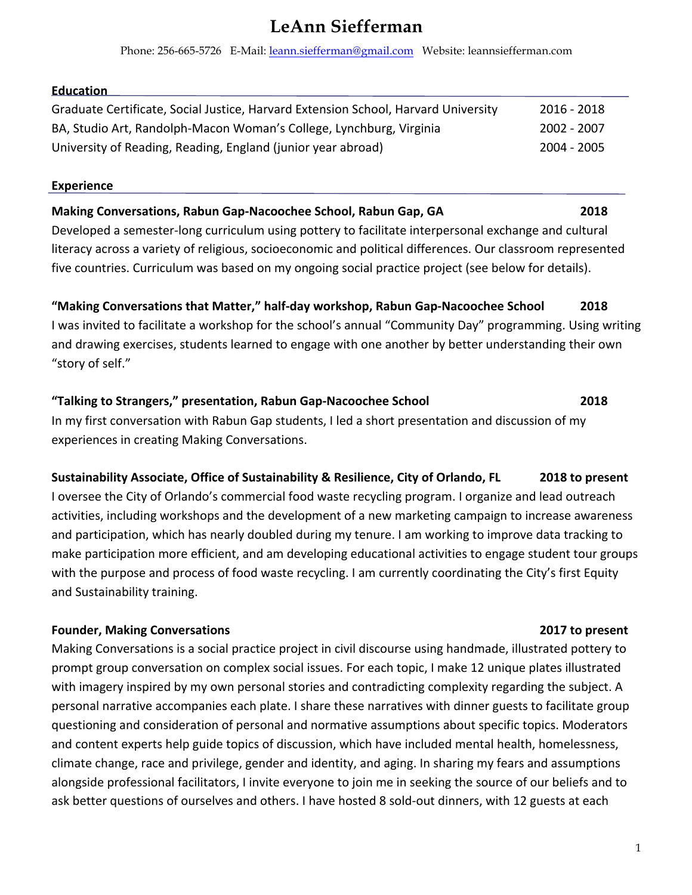# **LeAnn Siefferman**

Phone: 256-665-5726 E-Mail: leann.siefferman@gmail.com Website: leannsiefferman.com

### **Education**

| Graduate Certificate, Social Justice, Harvard Extension School, Harvard University | 2016 - 2018 |
|------------------------------------------------------------------------------------|-------------|
| BA, Studio Art, Randolph-Macon Woman's College, Lynchburg, Virginia                | 2002 - 2007 |
| University of Reading, Reading, England (junior year abroad)                       | 2004 - 2005 |

#### **Experience**

# **Making Conversations, Rabun Gap-Nacoochee School, Rabun Gap, GA** 2018

Developed a semester-long curriculum using pottery to facilitate interpersonal exchange and cultural literacy across a variety of religious, socioeconomic and political differences. Our classroom represented five countries. Curriculum was based on my ongoing social practice project (see below for details).

**"Making Conversations that Matter," half-day workshop, Rabun Gap-Nacoochee School 2018** I was invited to facilitate a workshop for the school's annual "Community Day" programming. Using writing and drawing exercises, students learned to engage with one another by better understanding their own "story of self."

# **"Talking to Strangers," presentation, Rabun Gap-Nacoochee School <b>2018 2018** In my first conversation with Rabun Gap students, I led a short presentation and discussion of my experiences in creating Making Conversations.

# **Sustainability Associate, Office of Sustainability & Resilience, City of Orlando, FL 2018 to present**

I oversee the City of Orlando's commercial food waste recycling program. I organize and lead outreach activities, including workshops and the development of a new marketing campaign to increase awareness and participation, which has nearly doubled during my tenure. I am working to improve data tracking to make participation more efficient, and am developing educational activities to engage student tour groups with the purpose and process of food waste recycling. I am currently coordinating the City's first Equity and Sustainability training.

### **Founder, Making Conversations 1996 1997 1998 1999 1999 1999 1999 1999 1999 2017 2017 2017 2017**

Making Conversations is a social practice project in civil discourse using handmade, illustrated pottery to prompt group conversation on complex social issues. For each topic, I make 12 unique plates illustrated with imagery inspired by my own personal stories and contradicting complexity regarding the subject. A personal narrative accompanies each plate. I share these narratives with dinner guests to facilitate group questioning and consideration of personal and normative assumptions about specific topics. Moderators and content experts help guide topics of discussion, which have included mental health, homelessness, climate change, race and privilege, gender and identity, and aging. In sharing my fears and assumptions alongside professional facilitators, I invite everyone to join me in seeking the source of our beliefs and to ask better questions of ourselves and others. I have hosted 8 sold-out dinners, with 12 guests at each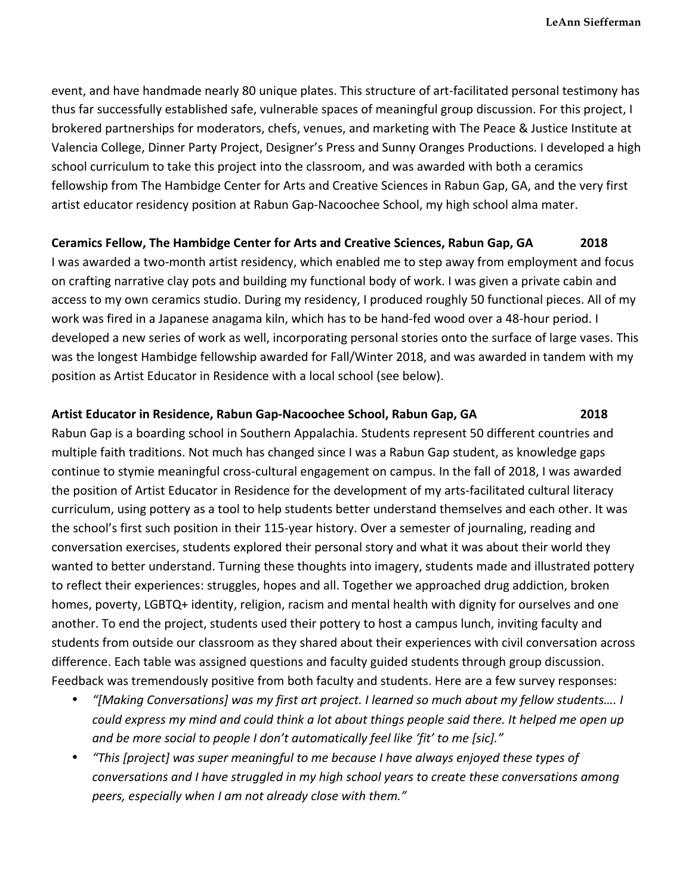event, and have handmade nearly 80 unique plates. This structure of art-facilitated personal testimony has thus far successfully established safe, vulnerable spaces of meaningful group discussion. For this project, I brokered partnerships for moderators, chefs, venues, and marketing with The Peace & Justice Institute at Valencia College, Dinner Party Project, Designer's Press and Sunny Oranges Productions. I developed a high school curriculum to take this project into the classroom, and was awarded with both a ceramics fellowship from The Hambidge Center for Arts and Creative Sciences in Rabun Gap, GA, and the very first artist educator residency position at Rabun Gap-Nacoochee School, my high school alma mater.

#### **Ceramics Fellow, The Hambidge Center for Arts and Creative Sciences, Rabun Gap, GA** 2018

I was awarded a two-month artist residency, which enabled me to step away from employment and focus on crafting narrative clay pots and building my functional body of work. I was given a private cabin and access to my own ceramics studio. During my residency, I produced roughly 50 functional pieces. All of my work was fired in a Japanese anagama kiln, which has to be hand-fed wood over a 48-hour period. I developed a new series of work as well, incorporating personal stories onto the surface of large vases. This was the longest Hambidge fellowship awarded for Fall/Winter 2018, and was awarded in tandem with my position as Artist Educator in Residence with a local school (see below).

#### **Artist Educator in Residence, Rabun Gap-Nacoochee School, Rabun Gap, GA** 2018

Rabun Gap is a boarding school in Southern Appalachia. Students represent 50 different countries and multiple faith traditions. Not much has changed since I was a Rabun Gap student, as knowledge gaps continue to stymie meaningful cross-cultural engagement on campus. In the fall of 2018, I was awarded the position of Artist Educator in Residence for the development of my arts-facilitated cultural literacy curriculum, using pottery as a tool to help students better understand themselves and each other. It was the school's first such position in their 115-year history. Over a semester of journaling, reading and conversation exercises, students explored their personal story and what it was about their world they wanted to better understand. Turning these thoughts into imagery, students made and illustrated pottery to reflect their experiences: struggles, hopes and all. Together we approached drug addiction, broken homes, poverty, LGBTQ+ identity, religion, racism and mental health with dignity for ourselves and one another. To end the project, students used their pottery to host a campus lunch, inviting faculty and students from outside our classroom as they shared about their experiences with civil conversation across difference. Each table was assigned questions and faculty guided students through group discussion. Feedback was tremendously positive from both faculty and students. Here are a few survey responses:

- *"[Making Conversations] was my first art project. I learned so much about my fellow students…. I could* express my mind and could think a lot about things people said there. It helped me open up *and be more social to people I don't automatically feel like 'fit' to me [sic]."*
- *"This* [project] was super meaningful to me because I have always enjoyed these types of *conversations and I have struggled in my high school years to create these conversations among peers, especially when I am not already close with them."*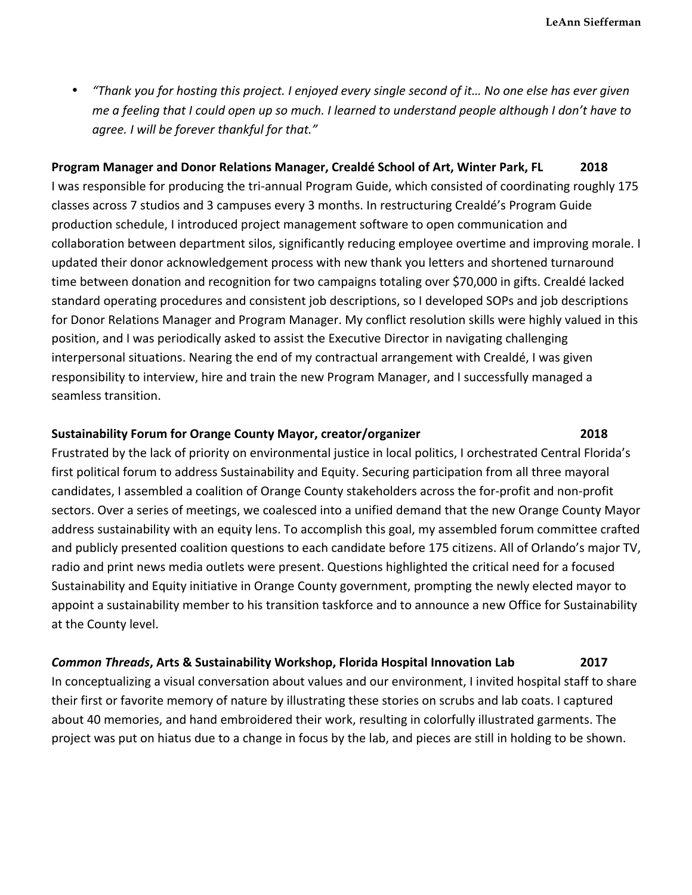• *"Thank you for hosting this project. I enjoyed every single second of it… No one else has ever given me* a feeling that I could open up so much. I learned to understand people although I don't have to *agree. I will be forever thankful for that."*

**Program Manager and Donor Relations Manager, Crealdé School of Art, Winter Park, FL** 2018 I was responsible for producing the tri-annual Program Guide, which consisted of coordinating roughly 175 classes across 7 studios and 3 campuses every 3 months. In restructuring Crealdé's Program Guide production schedule, I introduced project management software to open communication and collaboration between department silos, significantly reducing employee overtime and improving morale. I updated their donor acknowledgement process with new thank you letters and shortened turnaround time between donation and recognition for two campaigns totaling over \$70,000 in gifts. Crealdé lacked standard operating procedures and consistent job descriptions, so I developed SOPs and job descriptions for Donor Relations Manager and Program Manager. My conflict resolution skills were highly valued in this position, and I was periodically asked to assist the Executive Director in navigating challenging interpersonal situations. Nearing the end of my contractual arrangement with Crealdé, I was given responsibility to interview, hire and train the new Program Manager, and I successfully managed a seamless transition.

#### **Sustainability Forum for Orange County Mayor, creator/organizer 2018 2018**

Frustrated by the lack of priority on environmental justice in local politics, I orchestrated Central Florida's first political forum to address Sustainability and Equity. Securing participation from all three mayoral candidates, I assembled a coalition of Orange County stakeholders across the for-profit and non-profit sectors. Over a series of meetings, we coalesced into a unified demand that the new Orange County Mayor address sustainability with an equity lens. To accomplish this goal, my assembled forum committee crafted and publicly presented coalition questions to each candidate before 175 citizens. All of Orlando's major TV, radio and print news media outlets were present. Questions highlighted the critical need for a focused Sustainability and Equity initiative in Orange County government, prompting the newly elected mayor to appoint a sustainability member to his transition taskforce and to announce a new Office for Sustainability at the County level.

#### **Common Threads, Arts & Sustainability Workshop, Florida Hospital Innovation Lab** 2017

In conceptualizing a visual conversation about values and our environment, I invited hospital staff to share their first or favorite memory of nature by illustrating these stories on scrubs and lab coats. I captured about 40 memories, and hand embroidered their work, resulting in colorfully illustrated garments. The project was put on hiatus due to a change in focus by the lab, and pieces are still in holding to be shown.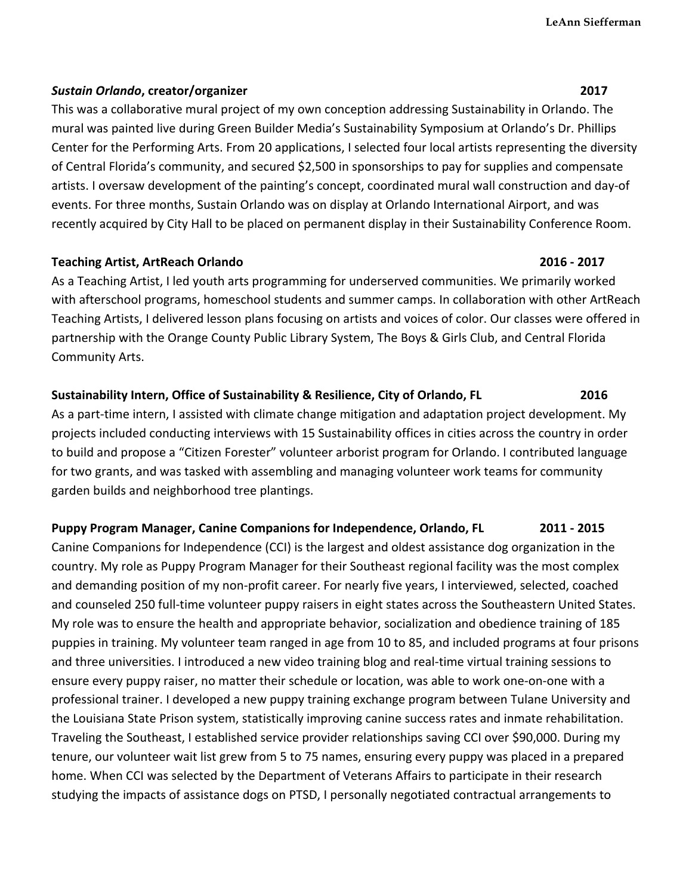### *Sustain Orlando***, creator/organizer 2017**

This was a collaborative mural project of my own conception addressing Sustainability in Orlando. The mural was painted live during Green Builder Media's Sustainability Symposium at Orlando's Dr. Phillips Center for the Performing Arts. From 20 applications, I selected four local artists representing the diversity of Central Florida's community, and secured \$2,500 in sponsorships to pay for supplies and compensate artists. I oversaw development of the painting's concept, coordinated mural wall construction and day-of events. For three months, Sustain Orlando was on display at Orlando International Airport, and was recently acquired by City Hall to be placed on permanent display in their Sustainability Conference Room.

### **Teaching Artist, ArtReach Orlando 2016** - 2017

As a Teaching Artist, I led youth arts programming for underserved communities. We primarily worked with afterschool programs, homeschool students and summer camps. In collaboration with other ArtReach Teaching Artists, I delivered lesson plans focusing on artists and voices of color. Our classes were offered in partnership with the Orange County Public Library System, The Boys & Girls Club, and Central Florida Community Arts.

## **Sustainability Intern, Office of Sustainability & Resilience, City of Orlando, FL** 2016

As a part-time intern, I assisted with climate change mitigation and adaptation project development. My projects included conducting interviews with 15 Sustainability offices in cities across the country in order to build and propose a "Citizen Forester" volunteer arborist program for Orlando. I contributed language for two grants, and was tasked with assembling and managing volunteer work teams for community garden builds and neighborhood tree plantings.

### **Puppy Program Manager, Canine Companions for Independence, Orlando, FL 2011 - 2015**

Canine Companions for Independence (CCI) is the largest and oldest assistance dog organization in the country. My role as Puppy Program Manager for their Southeast regional facility was the most complex and demanding position of my non-profit career. For nearly five years, I interviewed, selected, coached and counseled 250 full-time volunteer puppy raisers in eight states across the Southeastern United States. My role was to ensure the health and appropriate behavior, socialization and obedience training of 185 puppies in training. My volunteer team ranged in age from 10 to 85, and included programs at four prisons and three universities. I introduced a new video training blog and real-time virtual training sessions to ensure every puppy raiser, no matter their schedule or location, was able to work one-on-one with a professional trainer. I developed a new puppy training exchange program between Tulane University and the Louisiana State Prison system, statistically improving canine success rates and inmate rehabilitation. Traveling the Southeast, I established service provider relationships saving CCI over \$90,000. During my tenure, our volunteer wait list grew from 5 to 75 names, ensuring every puppy was placed in a prepared home. When CCI was selected by the Department of Veterans Affairs to participate in their research studying the impacts of assistance dogs on PTSD, I personally negotiated contractual arrangements to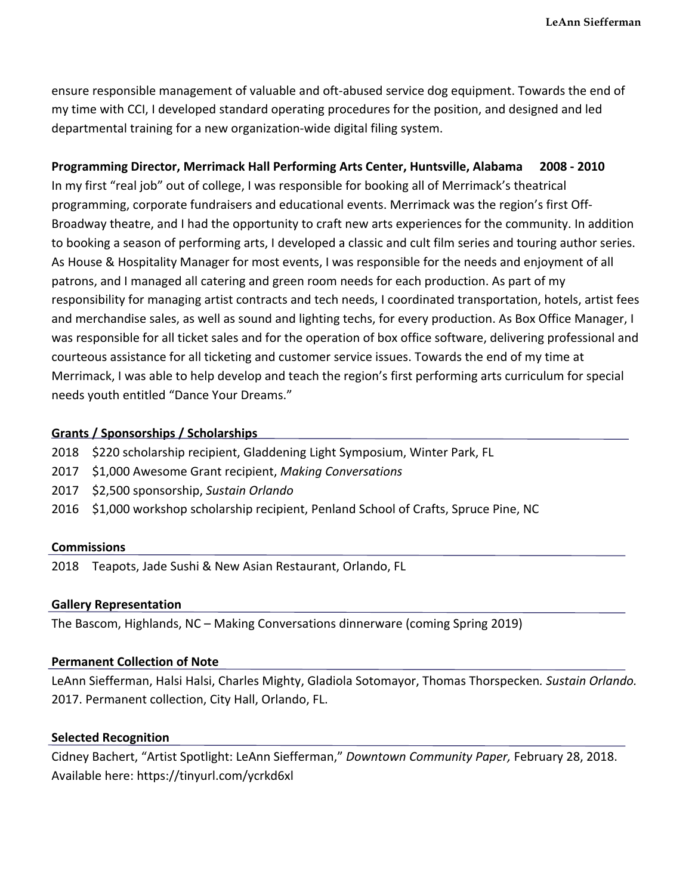ensure responsible management of valuable and oft-abused service dog equipment. Towards the end of my time with CCI, I developed standard operating procedures for the position, and designed and led departmental training for a new organization-wide digital filing system.

#### **Programming Director, Merrimack Hall Performing Arts Center, Huntsville, Alabama 2008 - 2010**

In my first "real job" out of college, I was responsible for booking all of Merrimack's theatrical programming, corporate fundraisers and educational events. Merrimack was the region's first Off-Broadway theatre, and I had the opportunity to craft new arts experiences for the community. In addition to booking a season of performing arts, I developed a classic and cult film series and touring author series. As House & Hospitality Manager for most events, I was responsible for the needs and enjoyment of all patrons, and I managed all catering and green room needs for each production. As part of my responsibility for managing artist contracts and tech needs, I coordinated transportation, hotels, artist fees and merchandise sales, as well as sound and lighting techs, for every production. As Box Office Manager, I was responsible for all ticket sales and for the operation of box office software, delivering professional and courteous assistance for all ticketing and customer service issues. Towards the end of my time at Merrimack, I was able to help develop and teach the region's first performing arts curriculum for special needs youth entitled "Dance Your Dreams."

### Grants / Sponsorships / Scholarships

- 2018 \$220 scholarship recipient, Gladdening Light Symposium, Winter Park, FL
- 2017 \$1,000 Awesome Grant recipient, *Making Conversations*
- 2017 \$2,500 sponsorship, Sustain Orlando
- 2016 \$1,000 workshop scholarship recipient, Penland School of Crafts, Spruce Pine, NC

#### **Commissions**

2018 Teapots, Jade Sushi & New Asian Restaurant, Orlando, FL

#### **Gallery Representation**

The Bascom, Highlands,  $NC -$  Making Conversations dinnerware (coming Spring 2019)

#### **Permanent Collection of Note**

LeAnn Siefferman, Halsi Halsi, Charles Mighty, Gladiola Sotomayor, Thomas Thorspecken. Sustain Orlando. 2017. Permanent collection, City Hall, Orlando, FL.

#### **Selected Recognition**

Cidney Bachert, "Artist Spotlight: LeAnn Siefferman," *Downtown Community Paper*, February 28, 2018. Available here: https://tinyurl.com/ycrkd6xl